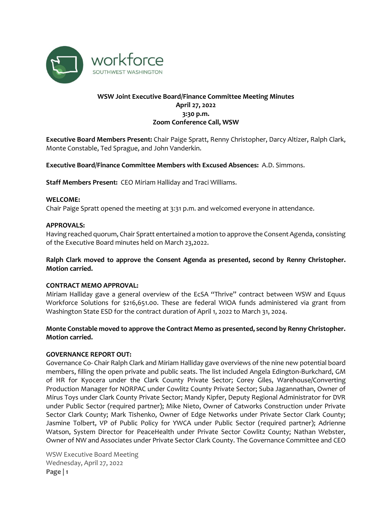

# **WSW Joint Executive Board/Finance Committee Meeting Minutes April 27, 2022 3:30 p.m. Zoom Conference Call, WSW**

**Executive Board Members Present:** Chair Paige Spratt, Renny Christopher, Darcy Altizer, Ralph Clark, Monte Constable, Ted Sprague, and John Vanderkin.

**Executive Board/Finance Committee Members with Excused Absences:** A.D. Simmons.

**Staff Members Present:** CEO Miriam Halliday and Traci Williams.

### **WELCOME:**

Chair Paige Spratt opened the meeting at 3:31 p.m. and welcomed everyone in attendance.

## **APPROVALS:**

Having reached quorum, Chair Spratt entertained a motion to approve the Consent Agenda, consisting of the Executive Board minutes held on March 23,2022.

## **Ralph Clark moved to approve the Consent Agenda as presented, second by Renny Christopher. Motion carried.**

### **CONTRACT MEMO APPROVAL:**

Miriam Halliday gave a general overview of the EcSA "Thrive" contract between WSW and Equus Workforce Solutions for \$216,651.00. These are federal WIOA funds administered via grant from Washington State ESD for the contract duration of April 1, 2022 to March 31, 2024.

## **Monte Constable moved to approve the Contract Memo as presented, second by Renny Christopher. Motion carried.**

## **GOVERNANCE REPORT OUT:**

Governance Co- Chair Ralph Clark and Miriam Halliday gave overviews of the nine new potential board members, filling the open private and public seats. The list included Angela Edington-Burkchard, GM of HR for Kyocera under the Clark County Private Sector; Corey Giles, Warehouse/Converting Production Manager for NORPAC under Cowlitz County Private Sector; Suba Jagannathan, Owner of Mirus Toys under Clark County Private Sector; Mandy Kipfer, Deputy Regional Administrator for DVR under Public Sector (required partner); Mike Nieto, Owner of Catworks Construction under Private Sector Clark County; Mark Tishenko, Owner of Edge Networks under Private Sector Clark County; Jasmine Tolbert, VP of Public Policy for YWCA under Public Sector (required partner); Adrienne Watson, System Director for PeaceHealth under Private Sector Cowlitz County; Nathan Webster, Owner of NW and Associates under Private Sector Clark County. The Governance Committee and CEO

WSW Executive Board Meeting Wednesday, April 27, 2022 **Page | 1**